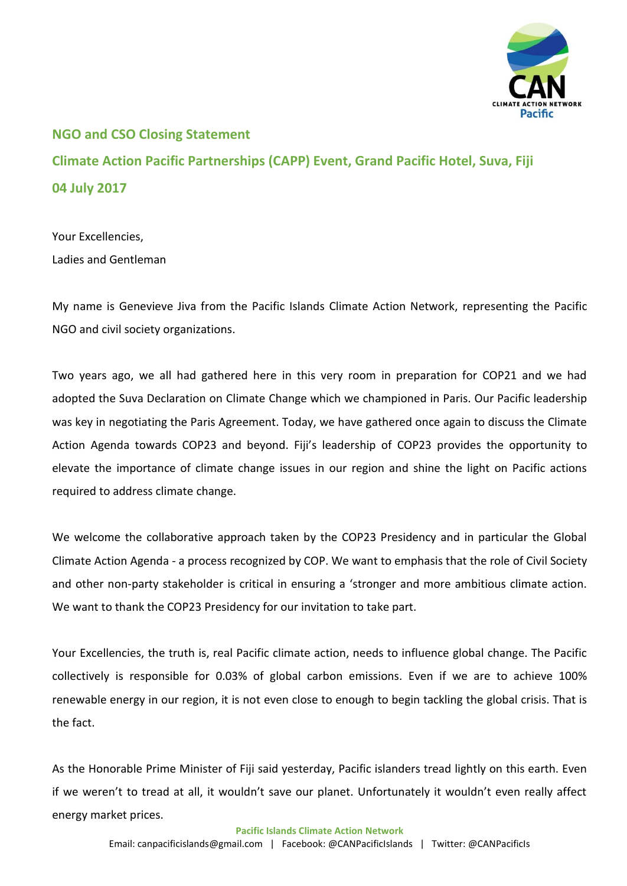

## **NGO and CSO Closing Statement Climate Action Pacific Partnerships (CAPP) Event, Grand Pacific Hotel, Suva, Fiji 04 July 2017**

Your Excellencies, Ladies and Gentleman

My name is Genevieve Jiva from the Pacific Islands Climate Action Network, representing the Pacific NGO and civil society organizations.

Two years ago, we all had gathered here in this very room in preparation for COP21 and we had adopted the Suva Declaration on Climate Change which we championed in Paris. Our Pacific leadership was key in negotiating the Paris Agreement. Today, we have gathered once again to discuss the Climate Action Agenda towards COP23 and beyond. Fiji's leadership of COP23 provides the opportunity to elevate the importance of climate change issues in our region and shine the light on Pacific actions required to address climate change.

We welcome the collaborative approach taken by the COP23 Presidency and in particular the Global Climate Action Agenda - a process recognized by COP. We want to emphasis that the role of Civil Society and other non-party stakeholder is critical in ensuring a 'stronger and more ambitious climate action. We want to thank the COP23 Presidency for our invitation to take part.

Your Excellencies, the truth is, real Pacific climate action, needs to influence global change. The Pacific collectively is responsible for 0.03% of global carbon emissions. Even if we are to achieve 100% renewable energy in our region, it is not even close to enough to begin tackling the global crisis. That is the fact.

As the Honorable Prime Minister of Fiji said yesterday, Pacific islanders tread lightly on this earth. Even if we weren't to tread at all, it wouldn't save our planet. Unfortunately it wouldn't even really affect energy market prices.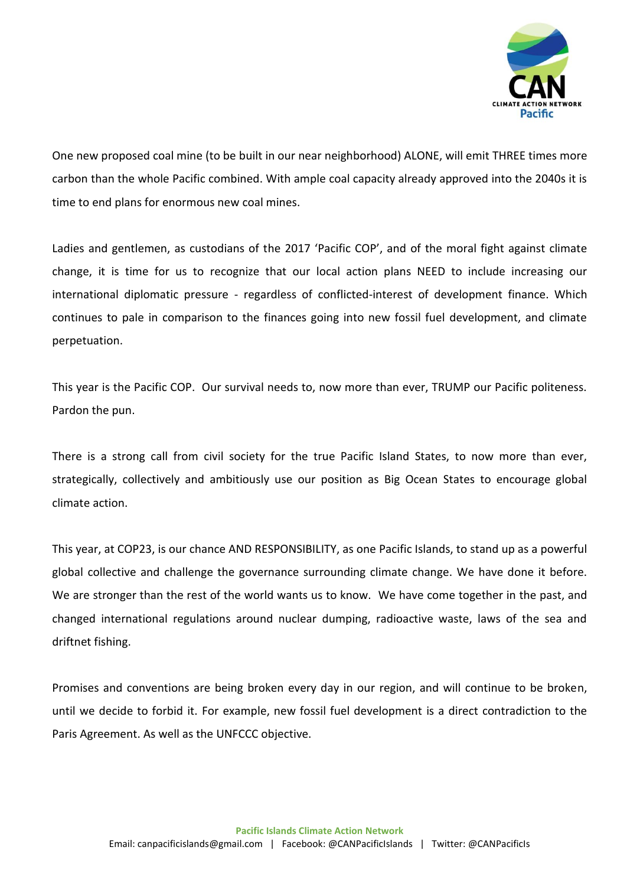

One new proposed coal mine (to be built in our near neighborhood) ALONE, will emit THREE times more carbon than the whole Pacific combined. With ample coal capacity already approved into the 2040s it is time to end plans for enormous new coal mines.

Ladies and gentlemen, as custodians of the 2017 'Pacific COP', and of the moral fight against climate change, it is time for us to recognize that our local action plans NEED to include increasing our international diplomatic pressure - regardless of conflicted-interest of development finance. Which continues to pale in comparison to the finances going into new fossil fuel development, and climate perpetuation.

This year is the Pacific COP. Our survival needs to, now more than ever, TRUMP our Pacific politeness. Pardon the pun.

There is a strong call from civil society for the true Pacific Island States, to now more than ever, strategically, collectively and ambitiously use our position as Big Ocean States to encourage global climate action.

This year, at COP23, is our chance AND RESPONSIBILITY, as one Pacific Islands, to stand up as a powerful global collective and challenge the governance surrounding climate change. We have done it before. We are stronger than the rest of the world wants us to know. We have come together in the past, and changed international regulations around nuclear dumping, radioactive waste, laws of the sea and driftnet fishing.

Promises and conventions are being broken every day in our region, and will continue to be broken, until we decide to forbid it. For example, new fossil fuel development is a direct contradiction to the Paris Agreement. As well as the UNFCCC objective.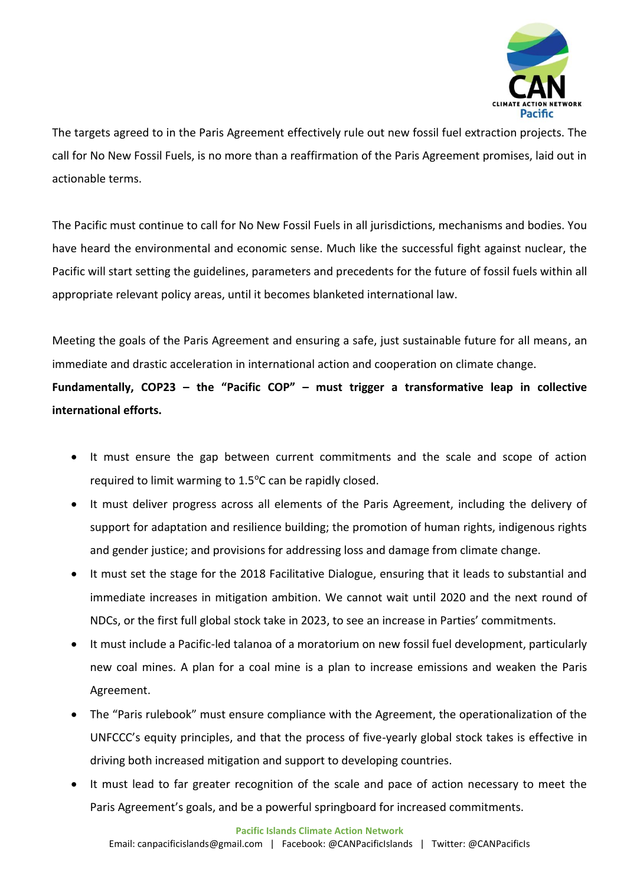

The targets agreed to in the Paris Agreement effectively rule out new fossil fuel extraction projects. The call for No New Fossil Fuels, is no more than a reaffirmation of the Paris Agreement promises, laid out in actionable terms.

The Pacific must continue to call for No New Fossil Fuels in all jurisdictions, mechanisms and bodies. You have heard the environmental and economic sense. Much like the successful fight against nuclear, the Pacific will start setting the guidelines, parameters and precedents for the future of fossil fuels within all appropriate relevant policy areas, until it becomes blanketed international law.

Meeting the goals of the Paris Agreement and ensuring a safe, just sustainable future for all means, an immediate and drastic acceleration in international action and cooperation on climate change.

**Fundamentally, COP23 – the "Pacific COP" – must trigger a transformative leap in collective international efforts.**

- It must ensure the gap between current commitments and the scale and scope of action required to limit warming to 1.5°C can be rapidly closed.
- It must deliver progress across all elements of the Paris Agreement, including the delivery of support for adaptation and resilience building; the promotion of human rights, indigenous rights and gender justice; and provisions for addressing loss and damage from climate change.
- It must set the stage for the 2018 Facilitative Dialogue, ensuring that it leads to substantial and immediate increases in mitigation ambition. We cannot wait until 2020 and the next round of NDCs, or the first full global stock take in 2023, to see an increase in Parties' commitments.
- It must include a Pacific-led talanoa of a moratorium on new fossil fuel development, particularly new coal mines. A plan for a coal mine is a plan to increase emissions and weaken the Paris Agreement.
- The "Paris rulebook" must ensure compliance with the Agreement, the operationalization of the UNFCCC's equity principles, and that the process of five-yearly global stock takes is effective in driving both increased mitigation and support to developing countries.
- It must lead to far greater recognition of the scale and pace of action necessary to meet the Paris Agreement's goals, and be a powerful springboard for increased commitments.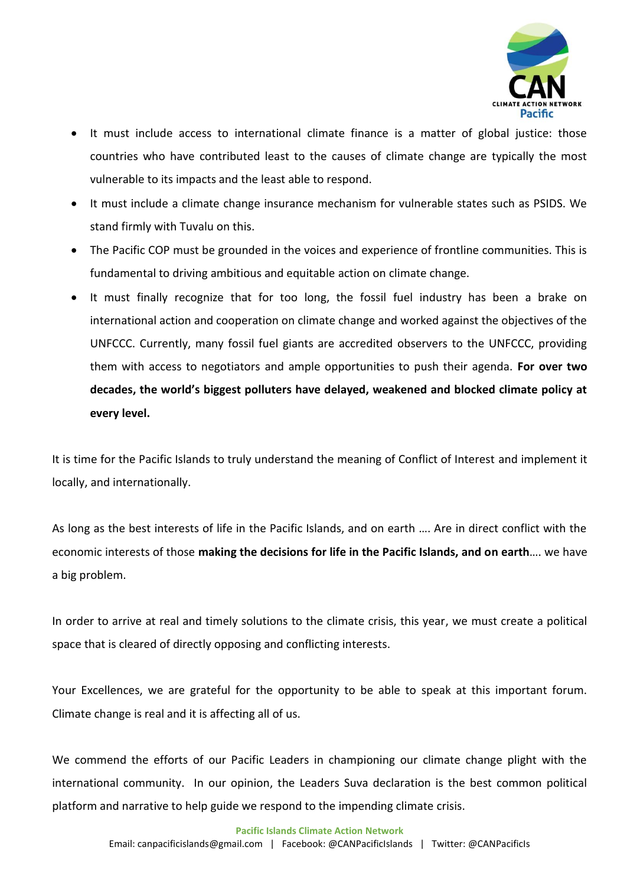

- It must include access to international climate finance is a matter of global justice: those countries who have contributed least to the causes of climate change are typically the most vulnerable to its impacts and the least able to respond.
- It must include a climate change insurance mechanism for vulnerable states such as PSIDS. We stand firmly with Tuvalu on this.
- The Pacific COP must be grounded in the voices and experience of frontline communities. This is fundamental to driving ambitious and equitable action on climate change.
- It must finally recognize that for too long, the fossil fuel industry has been a brake on international action and cooperation on climate change and worked against the objectives of the UNFCCC. Currently, many fossil fuel giants are accredited observers to the UNFCCC, providing them with access to negotiators and ample opportunities to push their agenda. **For over two decades, the world's biggest polluters have delayed, weakened and blocked climate policy at every level.**

It is time for the Pacific Islands to truly understand the meaning of Conflict of Interest and implement it locally, and internationally.

As long as the best interests of life in the Pacific Islands, and on earth …. Are in direct conflict with the economic interests of those **making the decisions for life in the Pacific Islands, and on earth**…. we have a big problem.

In order to arrive at real and timely solutions to the climate crisis, this year, we must create a political space that is cleared of directly opposing and conflicting interests.

Your Excellences, we are grateful for the opportunity to be able to speak at this important forum. Climate change is real and it is affecting all of us.

We commend the efforts of our Pacific Leaders in championing our climate change plight with the international community. In our opinion, the Leaders Suva declaration is the best common political platform and narrative to help guide we respond to the impending climate crisis.